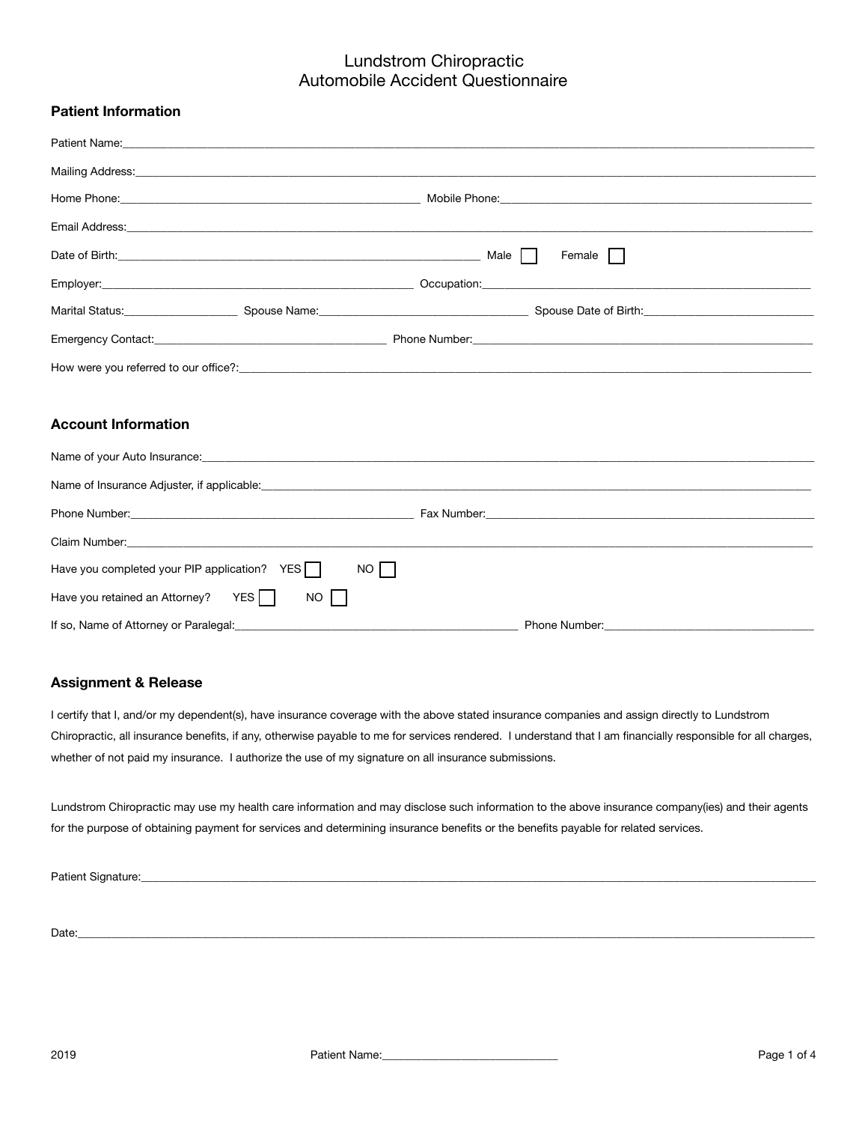### **Patient Information**

| Mailing Address: All and the contract of the contract of the contract of the contract of the contract of the contract of the contract of the contract of the contract of the contract of the contract of the contract of the c |                                                                                                                                                                                                                                          |
|--------------------------------------------------------------------------------------------------------------------------------------------------------------------------------------------------------------------------------|------------------------------------------------------------------------------------------------------------------------------------------------------------------------------------------------------------------------------------------|
|                                                                                                                                                                                                                                |                                                                                                                                                                                                                                          |
|                                                                                                                                                                                                                                |                                                                                                                                                                                                                                          |
|                                                                                                                                                                                                                                | Female                                                                                                                                                                                                                                   |
|                                                                                                                                                                                                                                |                                                                                                                                                                                                                                          |
|                                                                                                                                                                                                                                |                                                                                                                                                                                                                                          |
|                                                                                                                                                                                                                                | Emergency Contact: <b>Example 2018</b> 2019 12:30 Phone Number: <b>Example 2018</b> 2019 20:40 20:40 20:40 20:40 20:40 20:40 20:40 20:40 20:40 20:40 20:40 20:40 20:40 20:40 20:40 20:40 20:40 20:40 20:40 20:40 20:40 20:40 20:40 20:40 |
| How were you referred to our office?: example and the set of the set of the set of the set of the set of the set of the set of the set of the set of the set of the set of the set of the set of the set of the set of the set |                                                                                                                                                                                                                                          |
|                                                                                                                                                                                                                                |                                                                                                                                                                                                                                          |
| <b>Account Information</b>                                                                                                                                                                                                     |                                                                                                                                                                                                                                          |
| Name of your Auto Insurance: University of the Contract of the Contract of the Contract of the Contract of the Contract of the Contract of the Contract of the Contract of the Contract of the Contract of the Contract of the |                                                                                                                                                                                                                                          |
|                                                                                                                                                                                                                                |                                                                                                                                                                                                                                          |
|                                                                                                                                                                                                                                | Phone Number: National According to the Contract of Contract Contract Contract Contract Contract Contract Contract Contract Contract Contract Contract Contract Contract Contract Contract Contract Contract Contract Contract           |
|                                                                                                                                                                                                                                |                                                                                                                                                                                                                                          |
| Have you completed your PIP application? YES  <br>NO I                                                                                                                                                                         |                                                                                                                                                                                                                                          |
| Have you retained an Attorney?<br>YES II<br><b>NO</b>                                                                                                                                                                          |                                                                                                                                                                                                                                          |
| If so, Name of Attorney or Paralegal:                                                                                                                                                                                          |                                                                                                                                                                                                                                          |

#### **Assignment & Release**

I certify that I, and/or my dependent(s), have insurance coverage with the above stated insurance companies and assign directly to Lundstrom Chiropractic, all insurance benefits, if any, otherwise payable to me for services rendered. I understand that I am financially responsible for all charges, whether of not paid my insurance. I authorize the use of my signature on all insurance submissions.

Lundstrom Chiropractic may use my health care information and may disclose such information to the above insurance company(ies) and their agents for the purpose of obtaining payment for services and determining insurance benefits or the benefits payable for related services.

Patient Signature:

Date:\_\_\_\_\_\_\_\_\_\_\_\_\_\_\_\_\_\_\_\_\_\_\_\_\_\_\_\_\_\_\_\_\_\_\_\_\_\_\_\_\_\_\_\_\_\_\_\_\_\_\_\_\_\_\_\_\_\_\_\_\_\_\_\_\_\_\_\_\_\_\_\_\_\_\_\_\_\_\_\_\_\_\_\_\_\_\_\_\_\_\_\_\_\_\_\_\_\_\_\_\_\_\_\_\_\_\_\_\_\_\_\_\_\_\_\_\_\_\_\_\_\_\_\_\_\_\_\_\_\_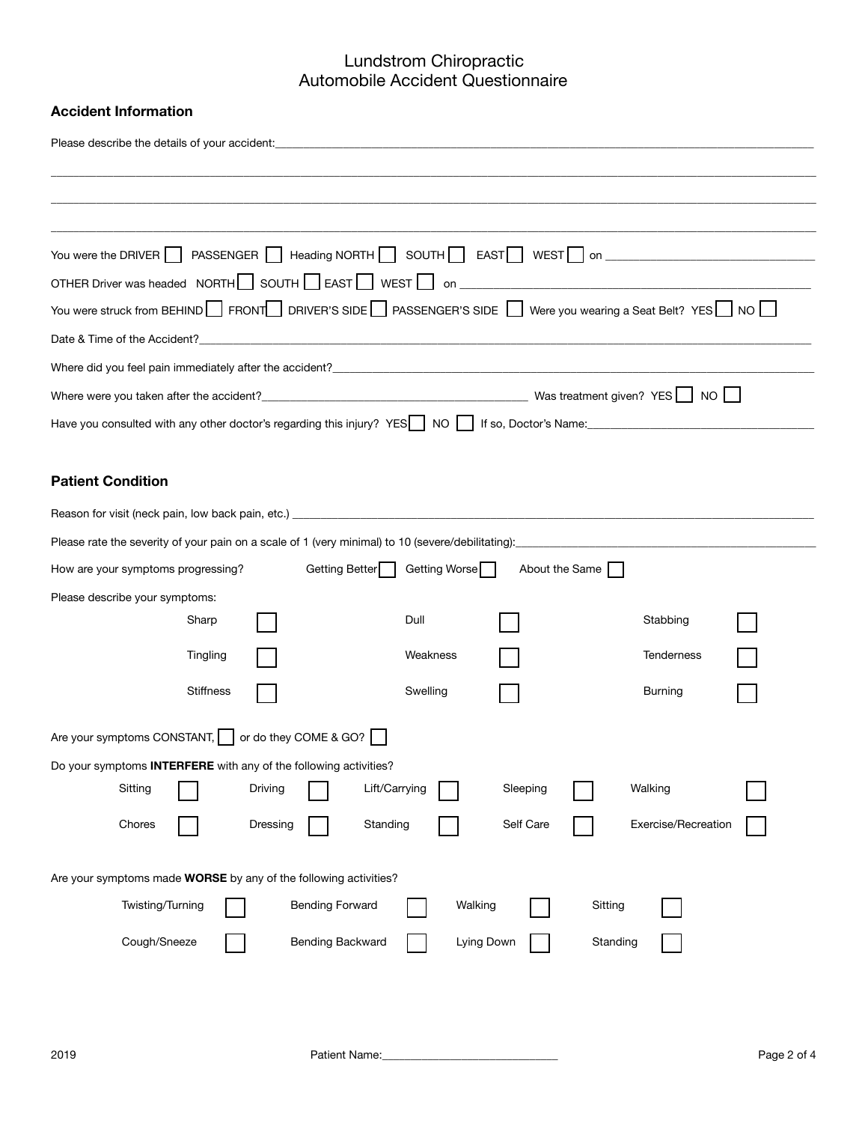## **Accident Information**

| OTHER Driver was headed NORTH SOUTH EAST WEST on _______________________________                      |                        |               |                |                                                                                                  |
|-------------------------------------------------------------------------------------------------------|------------------------|---------------|----------------|--------------------------------------------------------------------------------------------------|
| You were struck from BEHIND FRONT DRIVER'S SIDE PASSENGER'S SIDE Were you wearing a Seat Belt? YES NO |                        |               |                |                                                                                                  |
|                                                                                                       |                        |               |                |                                                                                                  |
|                                                                                                       |                        |               |                |                                                                                                  |
|                                                                                                       |                        |               |                |                                                                                                  |
|                                                                                                       |                        |               |                | Have you consulted with any other doctor's regarding this injury? YES NO I If so, Doctor's Name: |
|                                                                                                       |                        |               |                |                                                                                                  |
| <b>Patient Condition</b>                                                                              |                        |               |                |                                                                                                  |
|                                                                                                       |                        |               |                |                                                                                                  |
| Please rate the severity of your pain on a scale of 1 (very minimal) to 10 (severe/debilitating):     |                        |               |                |                                                                                                  |
| How are your symptoms progressing?                                                                    | Getting Better         | Getting Worse | About the Same |                                                                                                  |
| Please describe your symptoms:                                                                        |                        |               |                |                                                                                                  |
| Sharp                                                                                                 |                        | Dull          |                | Stabbing                                                                                         |
| Tingling                                                                                              |                        | Weakness      |                | Tenderness                                                                                       |
| <b>Stiffness</b>                                                                                      |                        | Swelling      |                | <b>Burning</b>                                                                                   |
| Are your symptoms CONSTANT, or do they COME & GO?                                                     |                        |               |                |                                                                                                  |
| Do your symptoms INTERFERE with any of the following activities?                                      |                        |               |                |                                                                                                  |
| Sitting                                                                                               | Driving                | Lift/Carrying | Sleeping       | Walking                                                                                          |
| Chores                                                                                                | Dressing               | Standing      | Self Care      | Exercise/Recreation                                                                              |
| Are your symptoms made <b>WORSE</b> by any of the following activities?                               |                        |               |                |                                                                                                  |
| Twisting/Turning                                                                                      | <b>Bending Forward</b> | Walking       |                | Sitting                                                                                          |
| Cough/Sneeze                                                                                          | Bending Backward       |               | Lying Down     | Standing                                                                                         |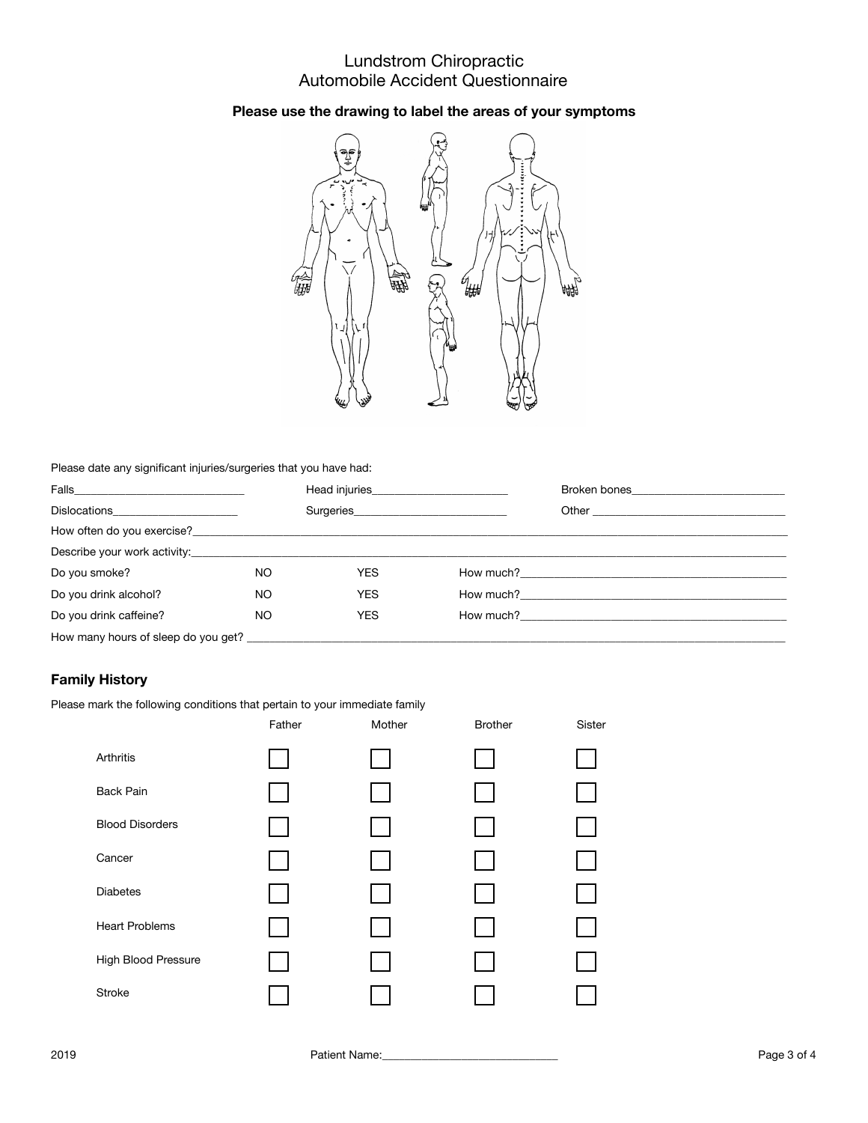### **Please use the drawing to label the areas of your symptoms**



Please date any significant injuries/surgeries that you have had:

|                                                                                                                                                                                                                               |    | Head injuries <b>Example 2014</b> |                                                                                                                                                                                                                                |  |  |
|-------------------------------------------------------------------------------------------------------------------------------------------------------------------------------------------------------------------------------|----|-----------------------------------|--------------------------------------------------------------------------------------------------------------------------------------------------------------------------------------------------------------------------------|--|--|
| Dislocations________________________                                                                                                                                                                                          |    |                                   |                                                                                                                                                                                                                                |  |  |
|                                                                                                                                                                                                                               |    |                                   | How often do you exercise? Notice that the second contract of the second contract of the second contract of the second contract of the second contract of the second contract of the second contract of the second contract of |  |  |
| Describe your work activity: example of the state of the state of the state of the state of the state of the state of the state of the state of the state of the state of the state of the state of the state of the state of |    |                                   |                                                                                                                                                                                                                                |  |  |
| Do you smoke?                                                                                                                                                                                                                 | NO | <b>YES</b>                        |                                                                                                                                                                                                                                |  |  |
| Do you drink alcohol?                                                                                                                                                                                                         | NO | <b>YES</b>                        |                                                                                                                                                                                                                                |  |  |
| Do you drink caffeine?                                                                                                                                                                                                        | NO | <b>YES</b>                        |                                                                                                                                                                                                                                |  |  |
| How many hours of sleep do you get?                                                                                                                                                                                           |    |                                   |                                                                                                                                                                                                                                |  |  |

### **Family History**

Please mark the following conditions that pertain to your immediate family

|                        | Father | Mother | <b>Brother</b> | Sister |
|------------------------|--------|--------|----------------|--------|
| Arthritis              |        |        |                |        |
| <b>Back Pain</b>       |        |        |                |        |
| <b>Blood Disorders</b> |        |        |                |        |
| Cancer                 |        |        |                |        |
| <b>Diabetes</b>        |        |        |                |        |
| <b>Heart Problems</b>  |        |        |                |        |
| High Blood Pressure    |        |        |                |        |
| Stroke                 |        |        |                |        |